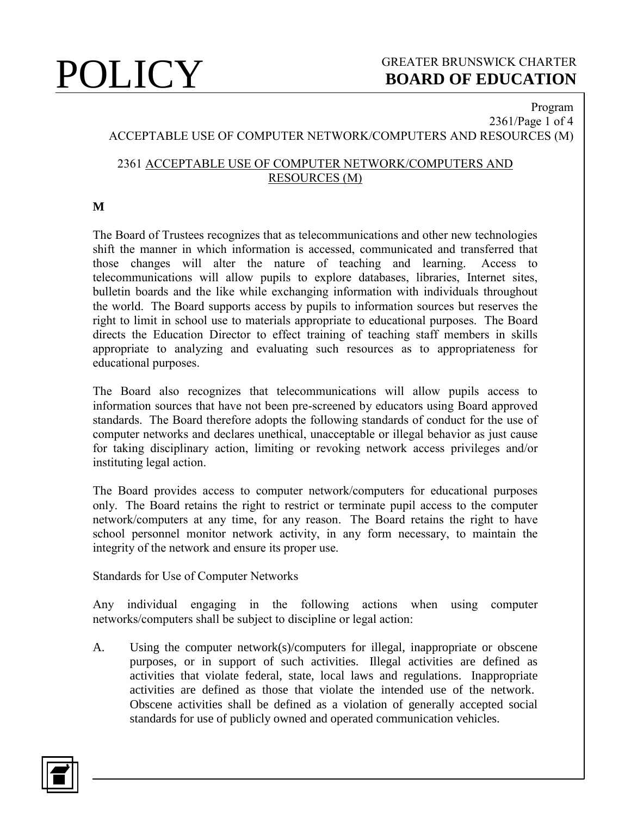## **POLICY** GREATER BRUNSWICK CHARTER BOARD OF EDUCATION **BOARD OF EDUCATION**

## Program 2361/Page 1 of 4 ACCEPTABLE USE OF COMPUTER NETWORK/COMPUTERS AND RESOURCES (M)

## 2361 ACCEPTABLE USE OF COMPUTER NETWORK/COMPUTERS AND RESOURCES (M)

### **M**

The Board of Trustees recognizes that as telecommunications and other new technologies shift the manner in which information is accessed, communicated and transferred that those changes will alter the nature of teaching and learning. Access to telecommunications will allow pupils to explore databases, libraries, Internet sites, bulletin boards and the like while exchanging information with individuals throughout the world. The Board supports access by pupils to information sources but reserves the right to limit in school use to materials appropriate to educational purposes. The Board directs the Education Director to effect training of teaching staff members in skills appropriate to analyzing and evaluating such resources as to appropriateness for educational purposes.

The Board also recognizes that telecommunications will allow pupils access to information sources that have not been pre-screened by educators using Board approved standards. The Board therefore adopts the following standards of conduct for the use of computer networks and declares unethical, unacceptable or illegal behavior as just cause for taking disciplinary action, limiting or revoking network access privileges and/or instituting legal action.

The Board provides access to computer network/computers for educational purposes only. The Board retains the right to restrict or terminate pupil access to the computer network/computers at any time, for any reason. The Board retains the right to have school personnel monitor network activity, in any form necessary, to maintain the integrity of the network and ensure its proper use.

Standards for Use of Computer Networks

Any individual engaging in the following actions when using computer networks/computers shall be subject to discipline or legal action:

A. Using the computer network(s)/computers for illegal, inappropriate or obscene purposes, or in support of such activities. Illegal activities are defined as activities that violate federal, state, local laws and regulations. Inappropriate activities are defined as those that violate the intended use of the network. Obscene activities shall be defined as a violation of generally accepted social standards for use of publicly owned and operated communication vehicles.

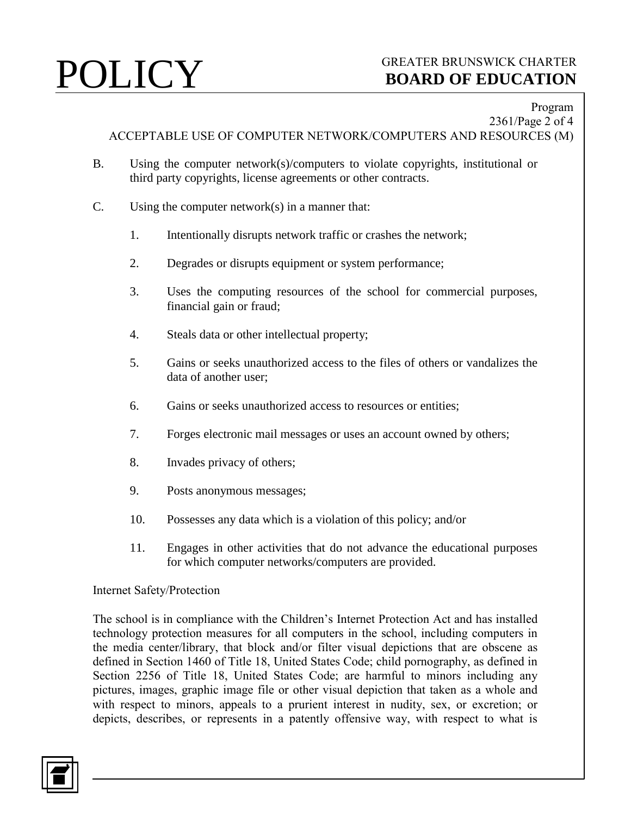# **POLICY** GREATER BRUNSWICK CHARTER<br>BOARD OF EDUCATION **BOARD OF EDUCATION**

### Program 2361/Page 2 of 4

ACCEPTABLE USE OF COMPUTER NETWORK/COMPUTERS AND RESOURCES (M)

- B. Using the computer network(s)/computers to violate copyrights, institutional or third party copyrights, license agreements or other contracts.
- C. Using the computer network(s) in a manner that:
	- 1. Intentionally disrupts network traffic or crashes the network;
	- 2. Degrades or disrupts equipment or system performance;
	- 3. Uses the computing resources of the school for commercial purposes, financial gain or fraud;
	- 4. Steals data or other intellectual property;
	- 5. Gains or seeks unauthorized access to the files of others or vandalizes the data of another user;
	- 6. Gains or seeks unauthorized access to resources or entities;
	- 7. Forges electronic mail messages or uses an account owned by others;
	- 8. Invades privacy of others;
	- 9. Posts anonymous messages;
	- 10. Possesses any data which is a violation of this policy; and/or
	- 11. Engages in other activities that do not advance the educational purposes for which computer networks/computers are provided.

### Internet Safety/Protection

The school is in compliance with the Children's Internet Protection Act and has installed technology protection measures for all computers in the school, including computers in the media center/library, that block and/or filter visual depictions that are obscene as defined in Section 1460 of Title 18, United States Code; child pornography, as defined in Section 2256 of Title 18, United States Code; are harmful to minors including any pictures, images, graphic image file or other visual depiction that taken as a whole and with respect to minors, appeals to a prurient interest in nudity, sex, or excretion; or depicts, describes, or represents in a patently offensive way, with respect to what is

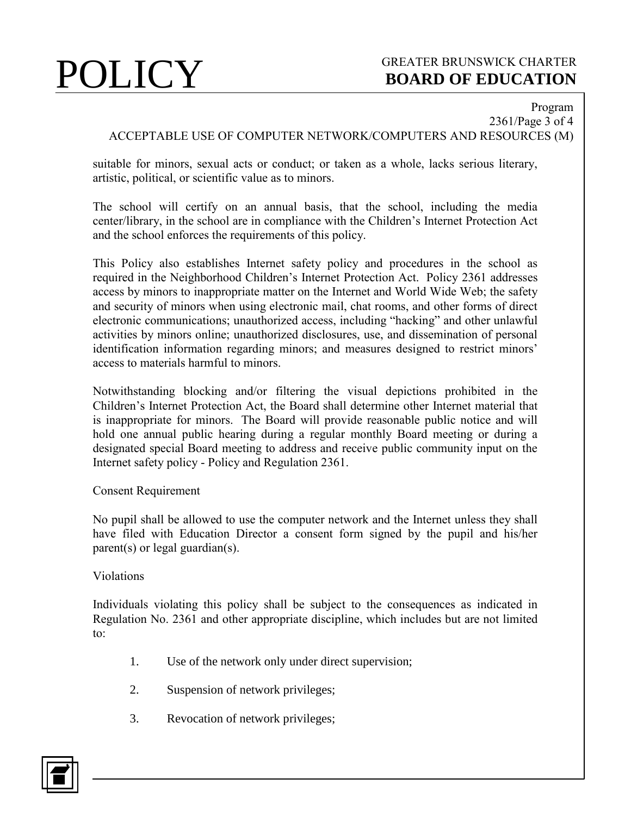# **POLICY** GREATER BRUNSWICK CHARTER<br>BOARD OF EDUCATION **BOARD OF EDUCATION**

Program

2361/Page 3 of 4 ACCEPTABLE USE OF COMPUTER NETWORK/COMPUTERS AND RESOURCES (M)

suitable for minors, sexual acts or conduct; or taken as a whole, lacks serious literary, artistic, political, or scientific value as to minors.

The school will certify on an annual basis, that the school, including the media center/library, in the school are in compliance with the Children's Internet Protection Act and the school enforces the requirements of this policy.

This Policy also establishes Internet safety policy and procedures in the school as required in the Neighborhood Children's Internet Protection Act. Policy 2361 addresses access by minors to inappropriate matter on the Internet and World Wide Web; the safety and security of minors when using electronic mail, chat rooms, and other forms of direct electronic communications; unauthorized access, including "hacking" and other unlawful activities by minors online; unauthorized disclosures, use, and dissemination of personal identification information regarding minors; and measures designed to restrict minors' access to materials harmful to minors.

Notwithstanding blocking and/or filtering the visual depictions prohibited in the Children's Internet Protection Act, the Board shall determine other Internet material that is inappropriate for minors. The Board will provide reasonable public notice and will hold one annual public hearing during a regular monthly Board meeting or during a designated special Board meeting to address and receive public community input on the Internet safety policy - Policy and Regulation 2361.

### Consent Requirement

No pupil shall be allowed to use the computer network and the Internet unless they shall have filed with Education Director a consent form signed by the pupil and his/her parent(s) or legal guardian(s).

### Violations

Individuals violating this policy shall be subject to the consequences as indicated in Regulation No. 2361 and other appropriate discipline, which includes but are not limited to:

- 1. Use of the network only under direct supervision;
- 2. Suspension of network privileges;
- 3. Revocation of network privileges;